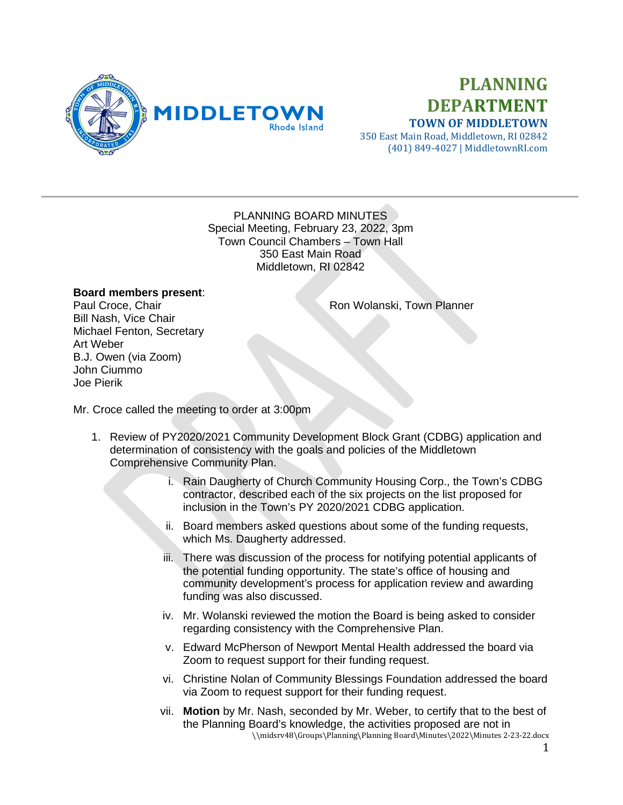

## **PLANNING DEPARTMENT TOWN OF MIDDLETOWN**

350 East Main Road, Middletown, RI 02842 (401) 849-4027 | MiddletownRI.com

## PLANNING BOARD MINUTES Special Meeting, February 23, 2022, 3pm Town Council Chambers – Town Hall 350 East Main Road Middletown, RI 02842

## **Board members present**:

Paul Croce, Chair **Ron Wolanski, Town Planner** Ron Wolanski, Town Planner

Bill Nash, Vice Chair Michael Fenton, Secretary Art Weber B.J. Owen (via Zoom) John Ciummo Joe Pierik

Mr. Croce called the meeting to order at 3:00pm

- 1. Review of PY2020/2021 Community Development Block Grant (CDBG) application and determination of consistency with the goals and policies of the Middletown Comprehensive Community Plan.
	- i. Rain Daugherty of Church Community Housing Corp., the Town's CDBG contractor, described each of the six projects on the list proposed for inclusion in the Town's PY 2020/2021 CDBG application.
	- ii. Board members asked questions about some of the funding requests, which Ms. Daugherty addressed.
	- iii. There was discussion of the process for notifying potential applicants of the potential funding opportunity. The state's office of housing and community development's process for application review and awarding funding was also discussed.
	- iv. Mr. Wolanski reviewed the motion the Board is being asked to consider regarding consistency with the Comprehensive Plan.
	- v. Edward McPherson of Newport Mental Health addressed the board via Zoom to request support for their funding request.
	- vi. Christine Nolan of Community Blessings Foundation addressed the board via Zoom to request support for their funding request.
	- \\midsrv48\Groups\Planning\Planning Board\Minutes\2022\Minutes 2-23-22.docx vii. **Motion** by Mr. Nash, seconded by Mr. Weber, to certify that to the best of the Planning Board's knowledge, the activities proposed are not in